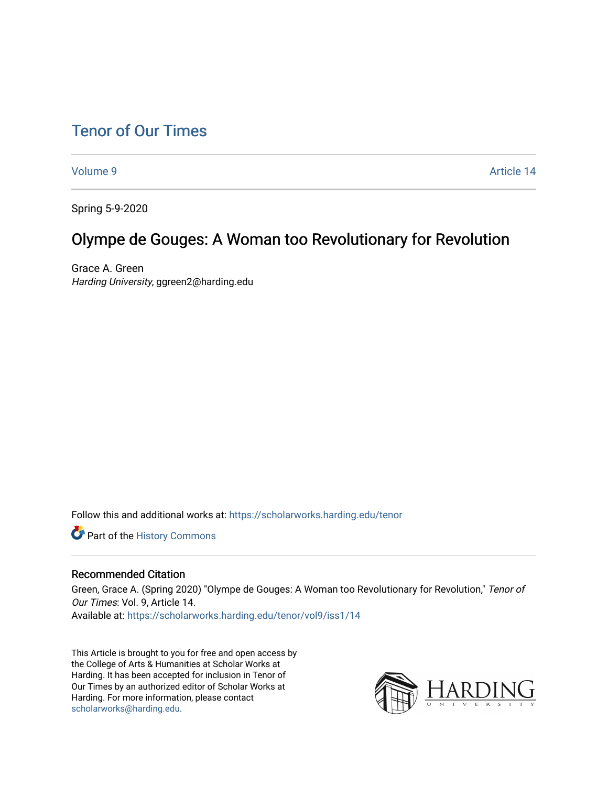[Volume 9](https://scholarworks.harding.edu/tenor/vol9) Article 14

Spring 5-9-2020

## Olympe de Gouges: A Woman too Revolutionary for Revolution

Grace A. Green Harding University, ggreen2@harding.edu

Follow this and additional works at: [https://scholarworks.harding.edu/tenor](https://scholarworks.harding.edu/tenor?utm_source=scholarworks.harding.edu%2Ftenor%2Fvol9%2Fiss1%2F14&utm_medium=PDF&utm_campaign=PDFCoverPages)

Part of the [History Commons](http://network.bepress.com/hgg/discipline/489?utm_source=scholarworks.harding.edu%2Ftenor%2Fvol9%2Fiss1%2F14&utm_medium=PDF&utm_campaign=PDFCoverPages) 

#### Recommended Citation

Green, Grace A. (Spring 2020) "Olympe de Gouges: A Woman too Revolutionary for Revolution," Tenor of Our Times: Vol. 9, Article 14. Available at: [https://scholarworks.harding.edu/tenor/vol9/iss1/14](https://scholarworks.harding.edu/tenor/vol9/iss1/14?utm_source=scholarworks.harding.edu%2Ftenor%2Fvol9%2Fiss1%2F14&utm_medium=PDF&utm_campaign=PDFCoverPages)

This Article is brought to you for free and open access by the College of Arts & Humanities at Scholar Works at Harding. It has been accepted for inclusion in Tenor of Our Times by an authorized editor of Scholar Works at Harding. For more information, please contact [scholarworks@harding.edu](mailto:scholarworks@harding.edu).

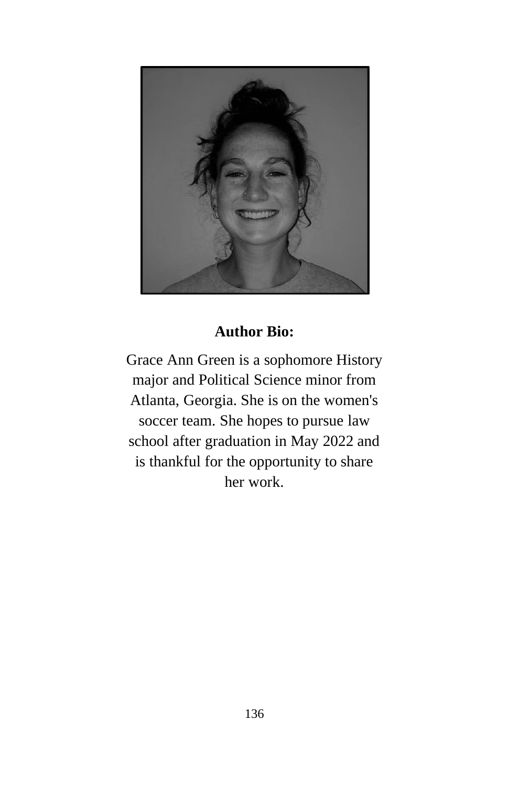

## **Author Bio:**

Grace Ann Green is a sophomore History major and Political Science minor from Atlanta, Georgia. She is on the women's soccer team. She hopes to pursue law school after graduation in May 2022 and is thankful for the opportunity to share her work.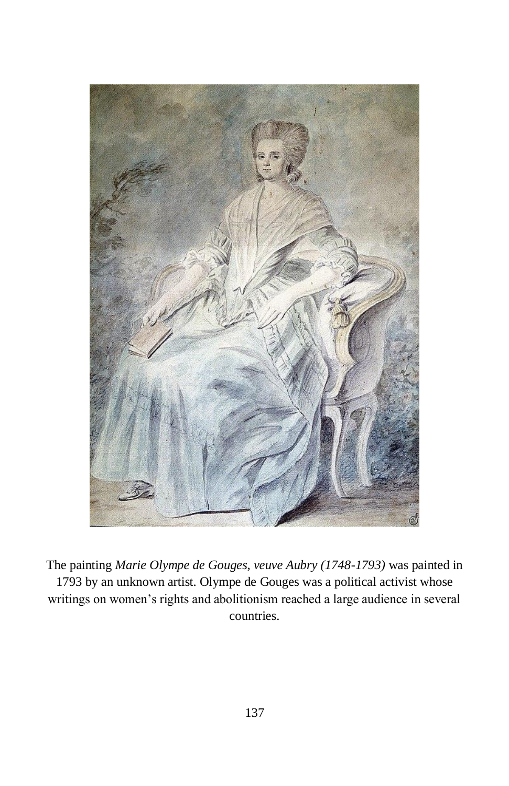

The painting *Marie Olympe de Gouges, veuve Aubry (1748-1793)* was painted in 1793 by an unknown artist. Olympe de Gouges was a political activist whose writings on women's rights and abolitionism reached a large audience in several countries.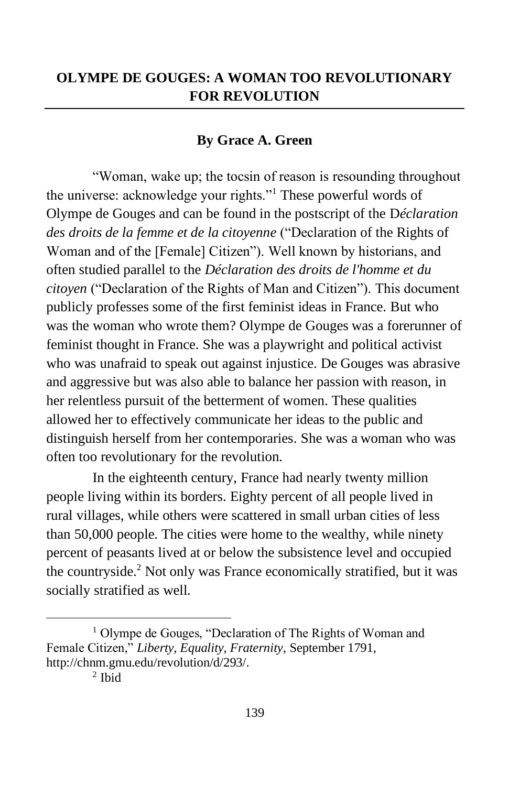#### **By Grace A. Green**

"Woman, wake up; the tocsin of reason is resounding throughout the universe: acknowledge your rights."<sup>1</sup> These powerful words of Olympe de Gouges and can be found in the postscript of the D*[éclaration](https://www.britannica.com/topic/Declaration-of-the-Rights-of-Woman-and-of-the-Female-Citizen)  [des droits de la femme et de la citoyenne](https://www.britannica.com/topic/Declaration-of-the-Rights-of-Woman-and-of-the-Female-Citizen)* ("Declaration of the Rights of Woman and of the [Female] Citizen"). Well known by historians, and often studied parallel to the *Déclaration des droits de l'homme et du citoyen* ("Declaration of the Rights of Man and Citizen"). This document publicly professes some of the first feminist ideas in France. But who was the woman who wrote them? Olympe de Gouges was a forerunner of feminist thought in France. She was a playwright and political activist who was unafraid to speak out against injustice. De Gouges was abrasive and aggressive but was also able to balance her passion with reason, in her relentless pursuit of the betterment of women. These qualities allowed her to effectively communicate her ideas to the public and distinguish herself from her contemporaries. She was a woman who was often too revolutionary for the revolution.

In the eighteenth century, France had nearly twenty million people living within its borders. Eighty percent of all people lived in rural villages, while others were scattered in small urban cities of less than 50,000 people. The cities were home to the wealthy, while ninety percent of peasants lived at or below the subsistence level and occupied the countryside.<sup>2</sup> Not only was France economically stratified, but it was socially stratified as well.

<sup>&</sup>lt;sup>1</sup> Olympe de Gouges, "Declaration of The Rights of Woman and Female Citizen," *Liberty, Equality, Fraternity*, September 1791, [http://chnm.gmu.edu/revolution/d/293/.](http://chnm.gmu.edu/revolution/d/293/)

<sup>2</sup> Ibid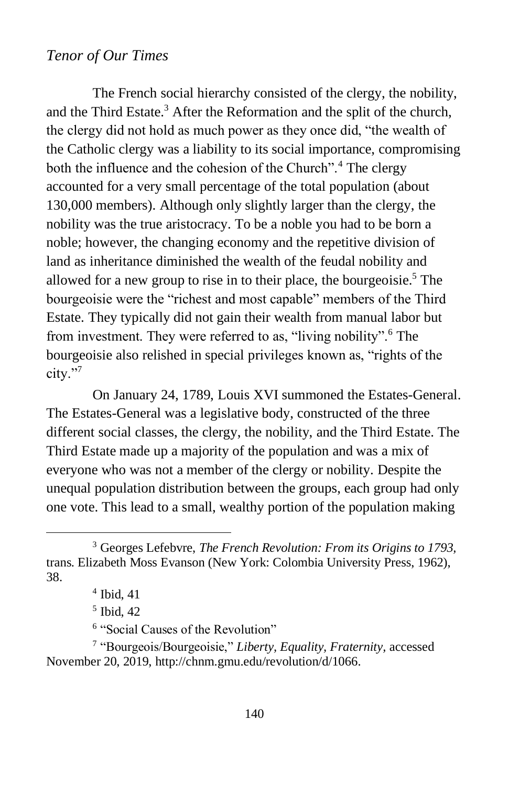The French social hierarchy consisted of the clergy, the nobility, and the Third Estate.<sup>3</sup> After the Reformation and the split of the church, the clergy did not hold as much power as they once did, "the wealth of the Catholic clergy was a liability to its social importance, compromising both the influence and the cohesion of the Church".<sup>4</sup> The clergy accounted for a very small percentage of the total population (about 130,000 members). Although only slightly larger than the clergy, the nobility was the true aristocracy. To be a noble you had to be born a noble; however, the changing economy and the repetitive division of land as inheritance diminished the wealth of the feudal nobility and allowed for a new group to rise in to their place, the bourgeoisie.<sup>5</sup> The bourgeoisie were the "richest and most capable" members of the Third Estate. They typically did not gain their wealth from manual labor but from investment. They were referred to as, "living nobility".<sup>6</sup> The bourgeoisie also relished in special privileges known as, "rights of the city."7

On January 24, 1789, Louis XVI summoned the Estates-General. The Estates-General was a legislative body, constructed of the three different social classes, the clergy, the nobility, and the Third Estate. The Third Estate made up a majority of the population and was a mix of everyone who was not a member of the clergy or nobility. Despite the unequal population distribution between the groups, each group had only one vote. This lead to a small, wealthy portion of the population making

<sup>3</sup> Georges Lefebvre, *The French Revolution: From its Origins to 1793,* trans. Elizabeth Moss Evanson (New York: Colombia University Press, 1962), 38.

<sup>4</sup> Ibid, 41

<sup>5</sup> Ibid, 42

<sup>6</sup> "Social Causes of the Revolution"

<sup>7</sup> "Bourgeois/Bourgeoisie," *Liberty, Equality, Fraternity,* accessed November 20, 2019, http://chnm.gmu.edu/revolution/d/1066.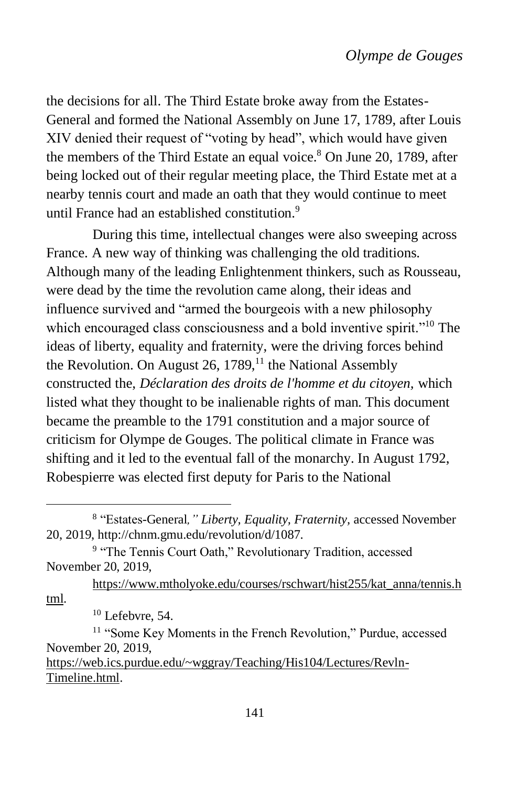the decisions for all. The Third Estate broke away from the Estates-General and formed the National Assembly on June 17, 1789, after Louis XIV denied their request of "voting by head", which would have given the members of the Third Estate an equal voice.<sup>8</sup> On June 20, 1789, after being locked out of their regular meeting place, the Third Estate met at a nearby tennis court and made an oath that they would continue to meet until France had an established constitution.<sup>9</sup>

During this time, intellectual changes were also sweeping across France. A new way of thinking was challenging the old traditions. Although many of the leading Enlightenment thinkers, such as Rousseau, were dead by the time the revolution came along, their ideas and influence survived and "armed the bourgeois with a new philosophy which encouraged class consciousness and a bold inventive spirit."<sup>10</sup> The ideas of liberty, equality and fraternity, were the driving forces behind the Revolution. On August 26, 1789, $<sup>11</sup>$  the National Assembly</sup> constructed the, *Déclaration des droits de l'homme et du citoyen,* which listed what they thought to be inalienable rights of man. This document became the preamble to the 1791 constitution and a major source of criticism for Olympe de Gouges. The political climate in France was shifting and it led to the eventual fall of the monarchy. In August 1792, Robespierre was elected first deputy for Paris to the National

[https://www.mtholyoke.edu/courses/rschwart/hist255/kat\\_anna/tennis.h](https://www.mtholyoke.edu/courses/rschwart/hist255/kat_anna/tennis.html) [tml.](https://www.mtholyoke.edu/courses/rschwart/hist255/kat_anna/tennis.html)

[Timeline.html.](https://web.ics.purdue.edu/~wggray/Teaching/His104/Lectures/Revln-Timeline.html)

<sup>8</sup> "Estates-General*," Liberty, Equality, Fraternity,* accessed November 20, 2019, http://chnm.gmu.edu/revolution/d/1087.

<sup>&</sup>lt;sup>9</sup> "The Tennis Court Oath," Revolutionary Tradition, accessed November 20, 2019,

 $10$  Lefebvre, 54.

<sup>&</sup>lt;sup>11</sup> "Some Key Moments in the French Revolution," Purdue, accessed November 20, 2019, [https://web.ics.purdue.edu/~wggray/Teaching/His104/Lectures/Revln-](https://web.ics.purdue.edu/~wggray/Teaching/His104/Lectures/Revln-Timeline.html)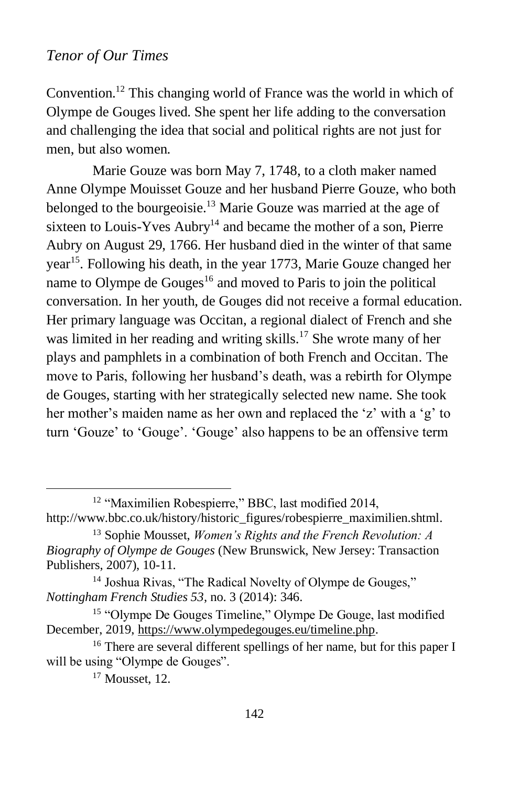Convention.<sup>12</sup> This changing world of France was the world in which of Olympe de Gouges lived. She spent her life adding to the conversation and challenging the idea that social and political rights are not just for men, but also women.

Marie Gouze was born May 7, 1748, to a cloth maker named Anne Olympe Mouisset Gouze and her husband Pierre Gouze, who both belonged to the bourgeoisie.<sup>13</sup> Marie Gouze was married at the age of sixteen to Louis-Yves  $\text{Aubry}^{14}$  and became the mother of a son, Pierre Aubry on August 29, 1766. Her husband died in the winter of that same year<sup>15</sup>. Following his death, in the year 1773, Marie Gouze changed her name to Olympe de Gouges<sup>16</sup> and moved to Paris to join the political conversation. In her youth, de Gouges did not receive a formal education. Her primary language was Occitan, a regional dialect of French and she was limited in her reading and writing skills.<sup>17</sup> She wrote many of her plays and pamphlets in a combination of both French and Occitan. The move to Paris, following her husband's death, was a rebirth for Olympe de Gouges, starting with her strategically selected new name. She took her mother's maiden name as her own and replaced the 'z' with a 'g' to turn 'Gouze' to 'Gouge'. 'Gouge' also happens to be an offensive term

<sup>&</sup>lt;sup>12</sup> "Maximilien Robespierre," BBC, last modified 2014,

http://www.bbc.co.uk/history/historic\_figures/robespierre\_maximilien.shtml.

<sup>13</sup> Sophie Mousset, *Women's Rights and the French Revolution: A Biography of Olympe de Gouges* (New Brunswick, New Jersey: Transaction Publishers, 2007), 10-11.

<sup>&</sup>lt;sup>14</sup> Joshua Rivas, "The Radical Novelty of Olympe de Gouges," *Nottingham French Studies 53*, no. 3 (2014): 346.

<sup>&</sup>lt;sup>15</sup> "Olympe De Gouges Timeline," Olympe De Gouge, last modified December, 2019, [https://www.olympedegouges.eu/timeline.php.](https://www.olympedegouges.eu/timeline.php)

<sup>&</sup>lt;sup>16</sup> There are several different spellings of her name, but for this paper I will be using "Olympe de Gouges".

<sup>&</sup>lt;sup>17</sup> Mousset, 12.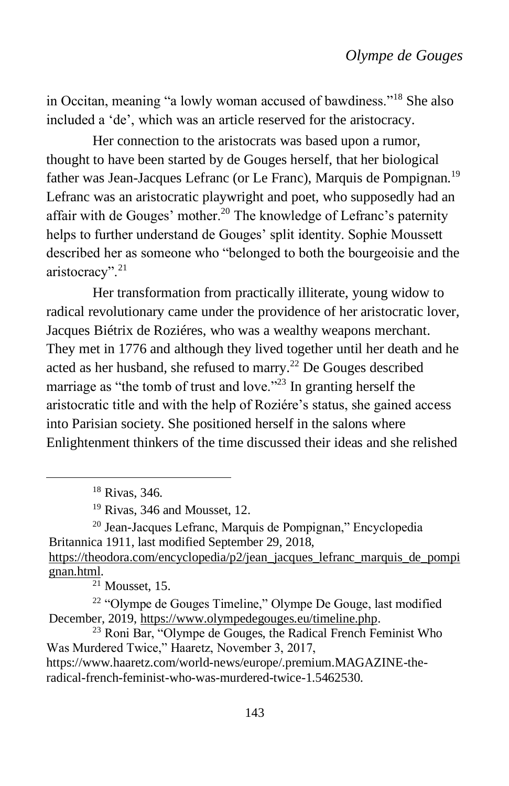in Occitan, meaning "a lowly woman accused of bawdiness."<sup>18</sup> She also included a 'de', which was an article reserved for the aristocracy.

Her connection to the aristocrats was based upon a rumor, thought to have been started by de Gouges herself, that her biological father was Jean-Jacques Lefranc (or Le Franc), Marquis de Pompignan.<sup>19</sup> Lefranc was an aristocratic playwright and poet, who supposedly had an affair with de Gouges' mother.<sup>20</sup> The knowledge of Lefranc's paternity helps to further understand de Gouges' split identity. Sophie Moussett described her as someone who "belonged to both the bourgeoisie and the aristocracy".<sup>21</sup>

Her transformation from practically illiterate, young widow to radical revolutionary came under the providence of her aristocratic lover, Jacques Biétrix de Roziéres, who was a wealthy weapons merchant. They met in 1776 and although they lived together until her death and he acted as her husband, she refused to marry.<sup>22</sup> De Gouges described marriage as "the tomb of trust and love."<sup>23</sup> In granting herself the aristocratic title and with the help of Roziére's status, she gained access into Parisian society. She positioned herself in the salons where Enlightenment thinkers of the time discussed their ideas and she relished

[gnan.html.](https://theodora.com/encyclopedia/p2/jean_jacques_lefranc_marquis_de_pompignan.html)

 $21$  Mousset, 15.

<sup>18</sup> Rivas, 346.

<sup>&</sup>lt;sup>19</sup> Rivas, 346 and Mousset, 12.

<sup>20</sup> Jean-Jacques Lefranc, Marquis de Pompignan," Encyclopedia Britannica 1911, last modified September 29, 2018, [https://theodora.com/encyclopedia/p2/jean\\_jacques\\_lefranc\\_marquis\\_de\\_pompi](https://theodora.com/encyclopedia/p2/jean_jacques_lefranc_marquis_de_pompignan.html)

<sup>22</sup> "Olympe de Gouges Timeline," Olympe De Gouge, last modified December, 2019, [https://www.olympedegouges.eu/timeline.php.](https://www.olympedegouges.eu/timeline.php)

<sup>23</sup> Roni Bar, "Olympe de Gouges, the Radical French Feminist Who Was Murdered Twice," Haaretz, November 3, 2017,

[https://www.haaretz.com/world-news/europe/.premium.MAGAZINE-the](https://www.haaretz.com/world-news/europe/.premium.MAGAZINE-the-radical-french-feminist-who-was-murdered-twice-1.5462530)[radical-french-feminist-who-was-murdered-twice-1.5462530.](https://www.haaretz.com/world-news/europe/.premium.MAGAZINE-the-radical-french-feminist-who-was-murdered-twice-1.5462530)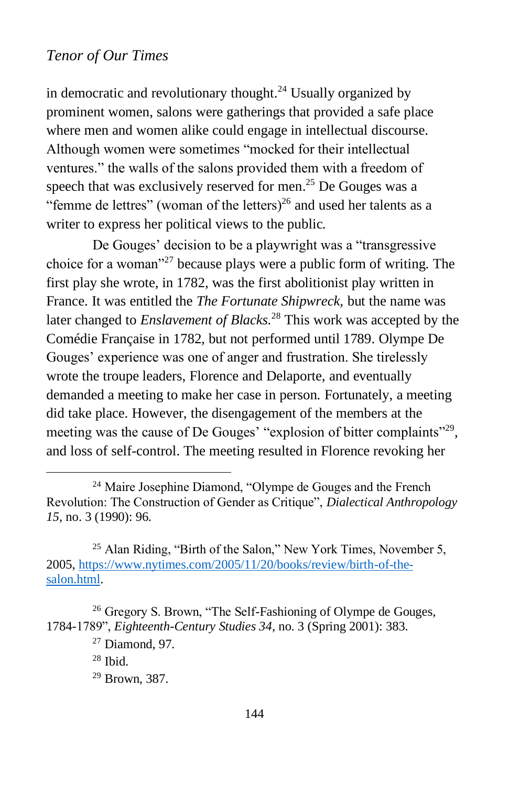in democratic and revolutionary thought.<sup>24</sup> Usually organized by prominent women, salons were gatherings that provided a safe place where men and women alike could engage in intellectual discourse. Although women were sometimes "mocked for their intellectual ventures." the walls of the salons provided them with a freedom of speech that was exclusively reserved for men.<sup>25</sup> De Gouges was a "femme de lettres" (woman of the letters)<sup>26</sup> and used her talents as a writer to express her political views to the public.

De Gouges' decision to be a playwright was a "transgressive choice for a woman"<sup>27</sup> because plays were a public form of writing. The first play she wrote, in 1782, was the first abolitionist play written in France. It was entitled the *The Fortunate Shipwreck,* but the name was later changed to *Enslavement of Blacks.*<sup>28</sup> This work was accepted by the Comédie Française in 1782, but not performed until 1789. Olympe De Gouges' experience was one of anger and frustration. She tirelessly wrote the troupe leaders, Florence and Delaporte, and eventually demanded a meeting to make her case in person. Fortunately, a meeting did take place. However, the disengagement of the members at the meeting was the cause of De Gouges' "explosion of bitter complaints"<sup>29</sup>, and loss of self-control. The meeting resulted in Florence revoking her

<sup>25</sup> Alan Riding, "Birth of the Salon," New York Times, November 5, 2005, [https://www.nytimes.com/2005/11/20/books/review/birth-of-the](https://www.nytimes.com/2005/11/20/books/review/birth-of-the-salon.html)[salon.html.](https://www.nytimes.com/2005/11/20/books/review/birth-of-the-salon.html)

<sup>24</sup> Maire Josephine Diamond, "Olympe de Gouges and the French Revolution: The Construction of Gender as Critique", *Dialectical Anthropology 15*, no. 3 (1990): 96.

<sup>&</sup>lt;sup>26</sup> Gregory S. Brown, "The Self-Fashioning of Olympe de Gouges, 1784-1789", *Eighteenth-Century Studies 34*, no. 3 (Spring 2001): 383.

 $27$  Diamond, 97.

 $28$  Ibid.

<sup>29</sup> Brown, 387.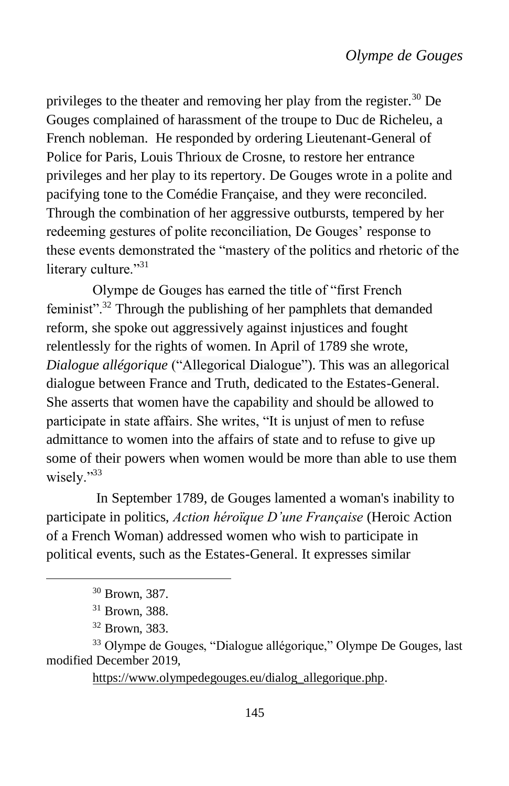privileges to the theater and removing her play from the register.<sup>30</sup> De Gouges complained of harassment of the troupe to Duc de Richeleu, a French nobleman. He responded by ordering Lieutenant-General of Police for Paris, Louis Thrioux de Crosne, to restore her entrance privileges and her play to its repertory. De Gouges wrote in a polite and pacifying tone to the Comédie Française, and they were reconciled. Through the combination of her aggressive outbursts, tempered by her redeeming gestures of polite reconciliation, De Gouges' response to these events demonstrated the "mastery of the politics and rhetoric of the literary culture."<sup>31</sup>

Olympe de Gouges has earned the title of "first French feminist".<sup>32</sup> Through the publishing of her pamphlets that demanded reform, she spoke out aggressively against injustices and fought relentlessly for the rights of women. In April of 1789 she wrote, *Dialogue allégorique* ("Allegorical Dialogue"). This was an allegorical dialogue between France and Truth, dedicated to the Estates-General. She asserts that women have the capability and should be allowed to participate in state affairs. She writes, "It is unjust of men to refuse admittance to women into the affairs of state and to refuse to give up some of their powers when women would be more than able to use them wisely."33

In September 1789, de Gouges lamented a woman's inability to participate in politics, *Action héroïque D'une Française* (Heroic Action of a French Woman) addressed women who wish to participate in political events, such as the Estates-General. It expresses similar

[https://www.olympedegouges.eu/dialog\\_allegorique.php.](https://www.olympedegouges.eu/dialog_allegorique.php)

<sup>30</sup> Brown, 387.

<sup>31</sup> Brown, 388.

<sup>32</sup> Brown, 383.

<sup>33</sup> Olympe de Gouges, "Dialogue allégorique," Olympe De Gouges, last modified December 2019,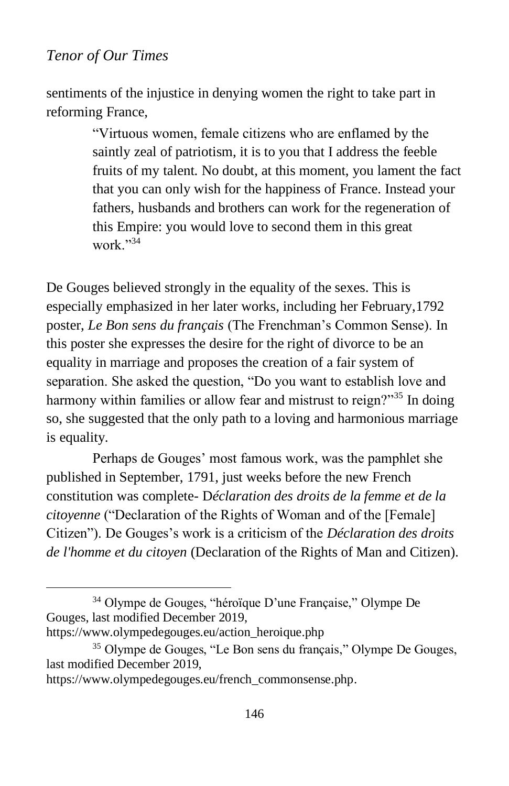sentiments of the injustice in denying women the right to take part in reforming France,

> "Virtuous women, female citizens who are enflamed by the saintly zeal of patriotism, it is to you that I address the feeble fruits of my talent. No doubt, at this moment, you lament the fact that you can only wish for the happiness of France. Instead your fathers, husbands and brothers can work for the regeneration of this Empire: you would love to second them in this great work."34

De Gouges believed strongly in the equality of the sexes. This is especially emphasized in her later works, including her February,1792 poster, *Le Bon sens du français* (The Frenchman's Common Sense). In this poster she expresses the desire for the right of divorce to be an equality in marriage and proposes the creation of a fair system of separation. She asked the question, "Do you want to establish love and harmony within families or allow fear and mistrust to reign?"<sup>35</sup> In doing so, she suggested that the only path to a loving and harmonious marriage is equality.

Perhaps de Gouges' most famous work, was the pamphlet she published in September, 1791, just weeks before the new French constitution was complete- D*[éclaration des droits de la femme et de la](https://www.britannica.com/topic/Declaration-of-the-Rights-of-Woman-and-of-the-Female-Citizen)  [citoyenne](https://www.britannica.com/topic/Declaration-of-the-Rights-of-Woman-and-of-the-Female-Citizen)* ("Declaration of the Rights of Woman and of the [Female] Citizen"). De Gouges's work is a criticism of the *Déclaration des droits de l'homme et du citoyen* (Declaration of the Rights of Man and Citizen)*.*

<sup>34</sup> Olympe de Gouges, "héroïque D'une Française," Olympe De Gouges, last modified December 2019,

[https://www.olympedegouges.eu/action\\_heroique.php](https://www.olympedegouges.eu/action_heroique.php)

<sup>35</sup> Olympe de Gouges, "Le Bon sens du français," Olympe De Gouges, last modified December 2019,

[https://www.olympedegouges.eu/french\\_commonsense.php.](https://www.olympedegouges.eu/french_commonsense.php)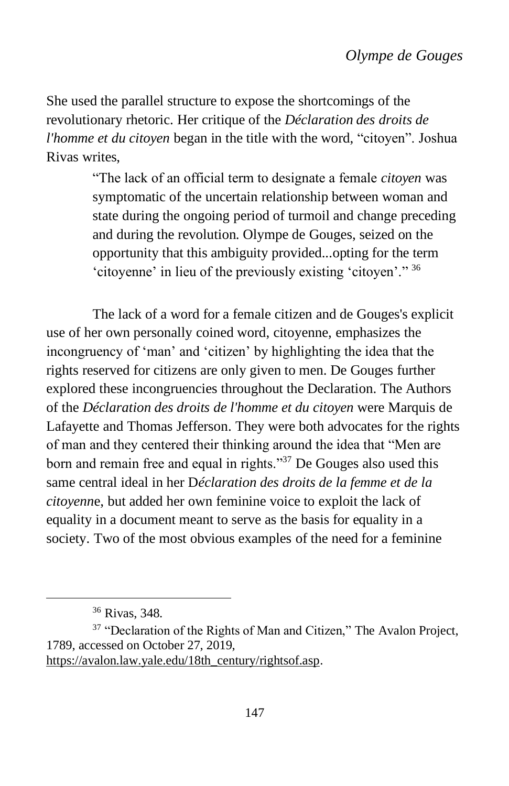She used the parallel structure to expose the shortcomings of the revolutionary rhetoric. Her critique of the *Déclaration des droits de l'homme et du citoyen* began in the title with the word, "citoyen". Joshua Rivas writes,

> "The lack of an official term to designate a female *citoyen* was symptomatic of the uncertain relationship between woman and state during the ongoing period of turmoil and change preceding and during the revolution. Olympe de Gouges, seized on the opportunity that this ambiguity provided...opting for the term 'citoyenne' in lieu of the previously existing 'citoyen'." <sup>36</sup>

The lack of a word for a female citizen and de Gouges's explicit use of her own personally coined word, citoyenne, emphasizes the incongruency of 'man' and 'citizen' by highlighting the idea that the rights reserved for citizens are only given to men. De Gouges further explored these incongruencies throughout the Declaration. The Authors of the *Déclaration des droits de l'homme et du citoyen* were [Marquis de](https://www.britannica.com/biography/Marquis-de-Lafayette)  [Lafayette](https://www.britannica.com/biography/Marquis-de-Lafayette) and [Thomas Jefferson.](https://www.britannica.com/biography/Thomas-Jefferson) They were both advocates for the rights of man and they centered their thinking around the idea that "Men are born and remain free and equal in rights."<sup>37</sup> De Gouges also used this same central ideal in her D*[éclaration des droits de la femme et de la](https://www.britannica.com/topic/Declaration-of-the-Rights-of-Woman-and-of-the-Female-Citizen)  [citoyenn](https://www.britannica.com/topic/Declaration-of-the-Rights-of-Woman-and-of-the-Female-Citizen)*e, but added her own feminine voice to exploit the lack of equality in a document meant to serve as the basis for equality in a society. Two of the most obvious examples of the need for a feminine

<sup>36</sup> Rivas, 348.

<sup>&</sup>lt;sup>37</sup> "Declaration of the Rights of Man and Citizen," The Avalon Project, 1789, accessed on October 27, 2019,

[https://avalon.law.yale.edu/18th\\_century/rightsof.asp.](https://avalon.law.yale.edu/18th_century/rightsof.asp)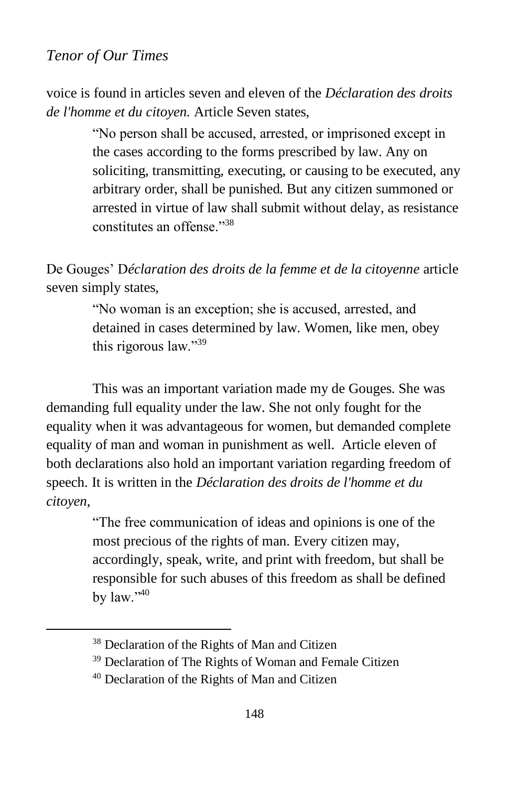voice is found in articles seven and eleven of the *Déclaration des droits de l'homme et du citoyen.* Article Seven states,

> "No person shall be accused, arrested, or imprisoned except in the cases according to the forms prescribed by law. Any on soliciting, transmitting, executing, or causing to be executed, any arbitrary order, shall be punished. But any citizen summoned or arrested in virtue of law shall submit without delay, as resistance constitutes an offense."<sup>38</sup>

De Gouges' D*[éclaration des droits de la femme et de la citoyenne](https://www.britannica.com/topic/Declaration-of-the-Rights-of-Woman-and-of-the-Female-Citizen)* article seven simply states,

> "No woman is an exception; she is accused, arrested, and detained in cases determined by law. Women, like men, obey this rigorous law."<sup>39</sup>

This was an important variation made my de Gouges. She was demanding full equality under the law. She not only fought for the equality when it was advantageous for women, but demanded complete equality of man and woman in punishment as well. Article eleven of both declarations also hold an important variation regarding freedom of speech. It is written in the *Déclaration des droits de l'homme et du citoyen,*

> "The free communication of ideas and opinions is one of the most precious of the rights of man. Every citizen may, accordingly, speak, write, and print with freedom, but shall be responsible for such abuses of this freedom as shall be defined by law."40

<sup>38</sup> Declaration of the Rights of Man and Citizen

<sup>&</sup>lt;sup>39</sup> Declaration of The Rights of Woman and Female Citizen

<sup>40</sup> Declaration of the Rights of Man and Citizen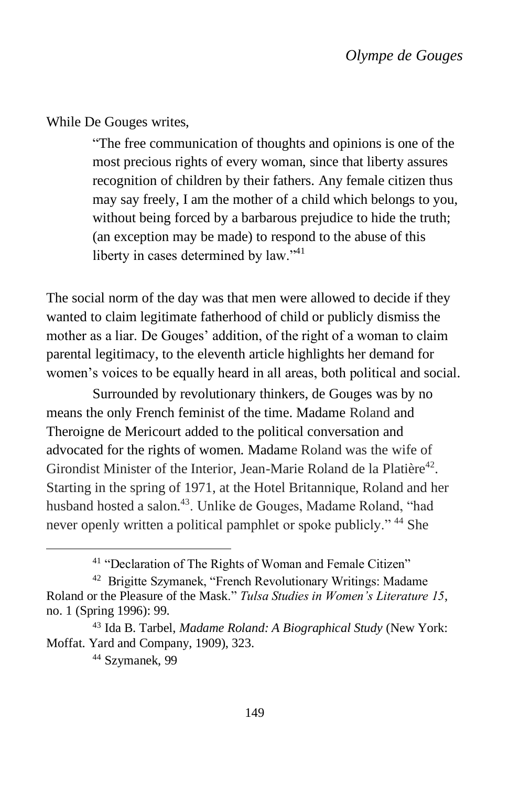While De Gouges writes,

"The free communication of thoughts and opinions is one of the most precious rights of every woman, since that liberty assures recognition of children by their fathers. Any female citizen thus may say freely, I am the mother of a child which belongs to you, without being forced by a barbarous prejudice to hide the truth; (an exception may be made) to respond to the abuse of this liberty in cases determined by law."<sup>41</sup>

The social norm of the day was that men were allowed to decide if they wanted to claim legitimate fatherhood of child or publicly dismiss the mother as a liar. De Gouges' addition, of the right of a woman to claim parental legitimacy, to the eleventh article highlights her demand for women's voices to be equally heard in all areas, both political and social.

Surrounded by revolutionary thinkers, de Gouges was by no means the only French feminist of the time. Madame Roland and Theroigne de Mericourt added to the political conversation and advocated for the rights of women. Madame Roland was the wife of Girondist Minister of the Interior, Jean-Marie Roland de la Platière<sup>42</sup>. Starting in the spring of 1971, at the Hotel Britannique, Roland and her husband hosted a salon.<sup>43</sup>. Unlike de Gouges, Madame Roland, "had never openly written a political pamphlet or spoke publicly."<sup>44</sup> She

<sup>41</sup> "Declaration of The Rights of Woman and Female Citizen"

<sup>&</sup>lt;sup>42</sup> Brigitte Szymanek, "French Revolutionary Writings: Madame Roland or the Pleasure of the Mask." *Tulsa Studies in Women's Literature 15*, no. 1 (Spring 1996): 99.

<sup>43</sup> Ida B. Tarbel, *Madame Roland: A Biographical Study* (New York: Moffat. Yard and Company, 1909), 323.

<sup>44</sup> Szymanek, 99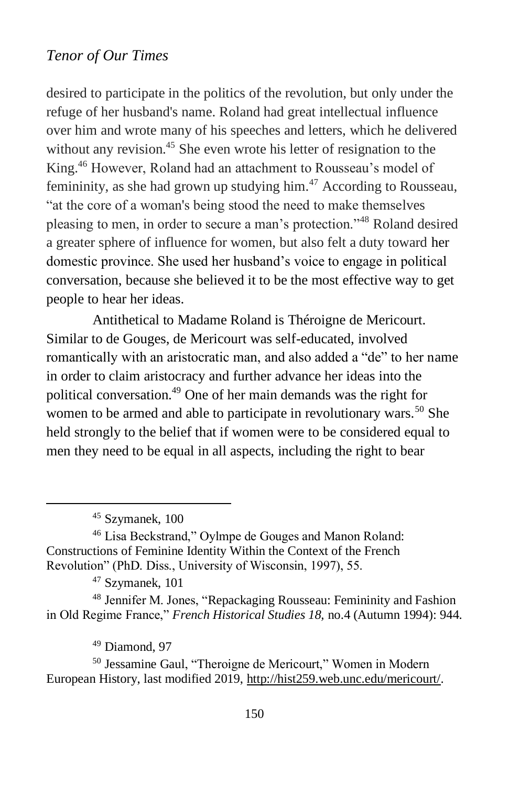desired to participate in the politics of the revolution, but only under the refuge of her husband's name. Roland had great intellectual influence over him and wrote many of his speeches and letters, which he delivered without any revision.<sup>45</sup> She even wrote his letter of resignation to the King.<sup>46</sup> However, Roland had an attachment to Rousseau's model of femininity, as she had grown up studying him.<sup>47</sup> According to Rousseau, "at the core of a woman's being stood the need to make themselves pleasing to men, in order to secure a man's protection."<sup>48</sup> Roland desired a greater sphere of influence for women, but also felt a duty toward her domestic province. She used her husband's voice to engage in political conversation, because she believed it to be the most effective way to get people to hear her ideas.

Antithetical to Madame Roland is Théroigne de Mericourt. Similar to de Gouges, de Mericourt was self-educated, involved romantically with an aristocratic man, and also added a "de" to her name in order to claim aristocracy and further advance her ideas into the political conversation.<sup>49</sup> One of her main demands was the right for women to be armed and able to participate in revolutionary wars.<sup>50</sup> She held strongly to the belief that if women were to be considered equal to men they need to be equal in all aspects, including the right to bear

<sup>47</sup> Szymanek, 101

<sup>48</sup> Jennifer M. Jones, "Repackaging Rousseau: Femininity and Fashion in Old Regime France," *French Historical Studies 18,* no.4 (Autumn 1994): 944.

 $49$  Diamond, 97

<sup>50</sup> Jessamine Gaul, "Theroigne de Mericourt," Women in Modern European History, last modified 2019, [http://hist259.web.unc.edu/mericourt/.](http://hist259.web.unc.edu/mericourt/)

<sup>45</sup> Szymanek, 100

<sup>46</sup> Lisa Beckstrand," Oylmpe de Gouges and Manon Roland: Constructions of Feminine Identity Within the Context of the French Revolution" (PhD. Diss., University of Wisconsin, 1997), 55.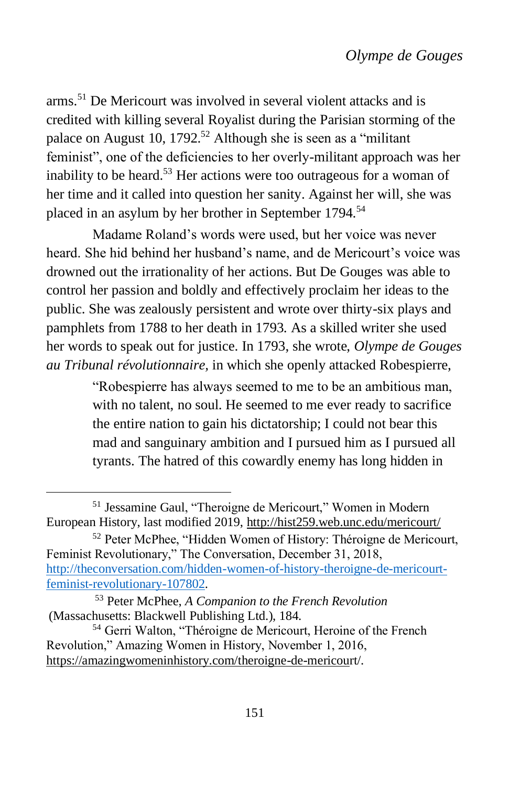arms.<sup>51</sup> De Mericourt was involved in several violent attacks and is credited with killing several Royalist during the Parisian storming of the palace on August 10, 1792.<sup>52</sup> Although she is seen as a "militant" feminist", one of the deficiencies to her overly-militant approach was her inability to be heard.<sup>53</sup> Her actions were too outrageous for a woman of her time and it called into question her sanity. Against her will, she was placed in an asylum by her brother in September 1794.<sup>54</sup>

Madame Roland's words were used, but her voice was never heard. She hid behind her husband's name, and de Mericourt's voice was drowned out the irrationality of her actions. But De Gouges was able to control her passion and boldly and effectively proclaim her ideas to the public. She was zealously persistent and wrote over thirty-six plays and pamphlets from 1788 to her death in 1793. As a skilled writer she used her words to speak out for justice. In 1793, she wrote, *Olympe de Gouges au Tribunal révolutionnaire,* in which she openly attacked Robespierre,

> "Robespierre has always seemed to me to be an ambitious man, with no talent, no soul. He seemed to me ever ready to sacrifice the entire nation to gain his dictatorship; I could not bear this mad and sanguinary ambition and I pursued him as I pursued all tyrants. The hatred of this cowardly enemy has long hidden in

<sup>51</sup> Jessamine Gaul, "Theroigne de Mericourt," Women in Modern European History, last modified 2019,<http://hist259.web.unc.edu/mericourt/>

<sup>52</sup> Peter McPhee, "Hidden Women of History: Théroigne de Mericourt, Feminist Revolutionary," The Conversation, December 31, 2018, [http://theconversation.com/hidden-women-of-history-theroigne-de-mericourt](http://theconversation.com/hidden-women-of-history-theroigne-de-mericourt-feminist-revolutionary-107802)[feminist-revolutionary-107802.](http://theconversation.com/hidden-women-of-history-theroigne-de-mericourt-feminist-revolutionary-107802)

<sup>53</sup> Peter McPhee, *A Companion to the French Revolution* (Massachusetts: Blackwell Publishing Ltd.), 184.

<sup>54</sup> Gerri Walton, "Théroigne de Mericourt, Heroine of the French Revolution," Amazing Women in History, November 1, 2016, <https://amazingwomeninhistory.com/theroigne-de-mericou>[rt/.](https://amazingwomeninhistory.com/theroigne-de-mericourt/)